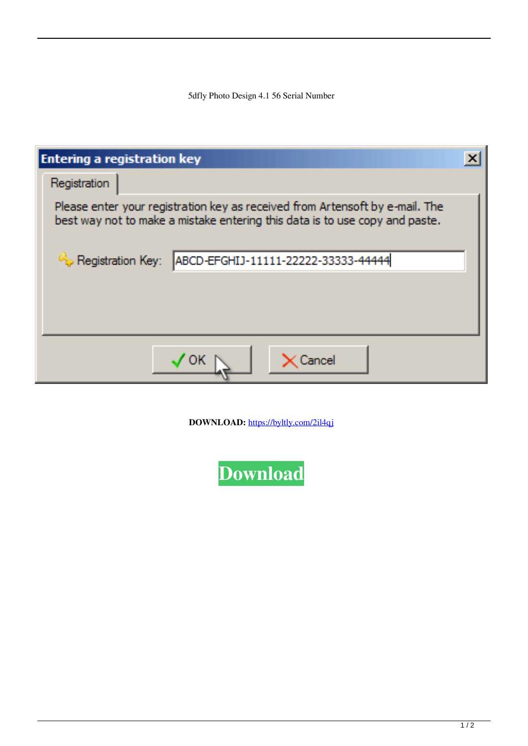5dfly Photo Design 4.1 56 Serial Number

| <b>Entering a registration key</b>                                                                                                                          |  |
|-------------------------------------------------------------------------------------------------------------------------------------------------------------|--|
| Registration                                                                                                                                                |  |
| Please enter your registration key as received from Artensoft by e-mail. The<br>best way not to make a mistake entering this data is to use copy and paste. |  |
| Registration Key:<br>ABCD-EFGHIJ-11111-22222-33333-44444                                                                                                    |  |
|                                                                                                                                                             |  |
| <b>Carrice</b>                                                                                                                                              |  |

**DOWNLOAD:** <https://byltly.com/2il4qj>